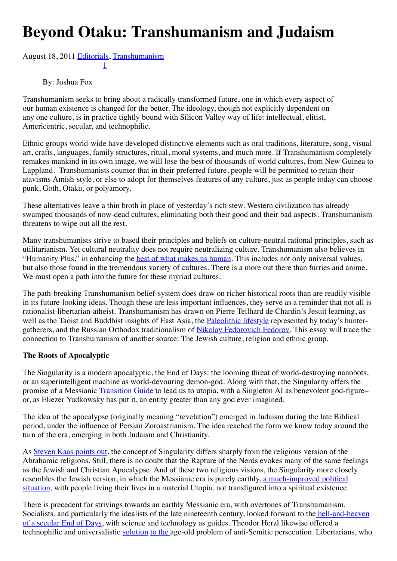## **Beyond Otaku: Transhumanism and Judaism**

[Augus](http://hplusmagazine.com/2011/08/18/beyond-otaku-transhumanism-and-judaism/#)[t 1](http://www.addthis.com/bookmark.php?v=300&winname=addthis&pub=unknown&source=tbx-300&lng=en-US&s=google_plusone_share&url=file%3A%2F%2F%2FUsers%2Fjoshua%2FDocuments%2Fpdocs%2FMIRI%2FH%2BArticles%2Ffile%3A%2F%2F%2FUsers%2Fjoshua%2FDocuments%2Fpdocs%2FMIRI%2FH%2BArticles%2Fh%2B%2520Magazine%2520%2520%2520Beyond%2520Otaku%2520%2520Transhumanism%2520and%2520Judaism%2520-%2520h%2B%2520Magazine_files%2Fh%2B%2520Magazine%2520%2520%2520Beyond%2520Otaku%2520%2520Transhumanism%2520and%2520Judaism%2520-%2520h%2B%2520Magazine.html&title=h%2B%20Magazine%20%7C%20Beyond%20Otaku%3A%20Transhumanism%20and%20Judaism%20-%20h%2B%20Magazine&ate=AT-unknown/-/-/5dc2f09c7a330b13/2&frommenu=1&uid=5dc2f09ca0386bd8&ct=1&tt=0&captcha_provider=nucaptcha)[8, 2](http://www.addthis.com/bookmark.php?v=300&winname=addthis&pub=unknown&source=tbx-300&lng=en-US&s=linkedin&url=file%3A%2F%2F%2FUsers%2Fjoshua%2FDocuments%2Fpdocs%2FMIRI%2FH%2BArticles%2Ffile%3A%2F%2F%2FUsers%2Fjoshua%2FDocuments%2Fpdocs%2FMIRI%2FH%2BArticles%2Fh%2B%2520Magazine%2520%2520%2520Beyond%2520Otaku%2520%2520Transhumanism%2520and%2520Judaism%2520-%2520h%2B%2520Magazine_files%2Fh%2B%2520Magazine%2520%2520%2520Beyond%2520Otaku%2520%2520Transhumanism%2520and%2520Judaism%2520-%2520h%2B%2520Magazine.html&title=h%2B%20Magazine%20%7C%20Beyond%20Otaku%3A%20Transhumanism%20and%20Judaism%20-%20h%2B%20Magazine&ate=AT-unknown/-/-/5dc2f09c7a330b13/3&frommenu=1&uid=5dc2f09c9c81b815&ct=1&tt=0&captcha_provider=nucaptcha)[011](http://hplusmagazine.com/2011/08/18/beyond-otaku-transhumanism-and-judaism/#) [Editorials](http://hplusmagazine.com/category/editorials/), [Transhumanism](http://hplusmagazine.com/category/transhumanism-2/)

[1](http://hplusmagazine.com/2011/08/18/beyond-otaku-transhumanism-and-judaism/#)

By: Joshua Fox

Transhumanism seeks to bring about a radically transformed future, one in which every aspect of our human existence is changed for the better. The ideology, though not explicitly dependent on any one culture, is in practice tightly bound with Silicon Valley way of life: intellectual, elitist, Americentric, secular, and technophilic.

Ethnic groups world-wide have developed distinctive elements such as oral traditions, literature, song, visual art, crafts, languages, family structures, ritual, moral systems, and much more. If Transhumanism completely remakes mankind in its own image, we will lose the best of thousands of world cultures, from New Guinea to Lappland. Transhumanists counter that in their preferred future, people will be permitted to retain their atavisms Amish-style, or else to adopt for themselves features of any culture, just as people today can choose punk, Goth, Otaku, or polyamory.

These alternatives leave a thin broth in place of yesterday's rich stew. Western civilization has already swamped thousands of now-dead cultures, eliminating both their good and their bad aspects. Transhumanism threatens to wipe out all the rest.

Many transhumanists strive to based their principles and beliefs on culture-neutral rational principles, such as utilitarianism. Yet cultural neutrality does not require neutralizing culture. Transhumanism also believes in "Humanity Plus," in enhancing the **[best of what makes us human](http://hplusmagazine.com/2011/06/07/human-more-human/%20)**. This includes not only universal values, but also those found in the tremendous variety of cultures. There is a more out there than furries and anime. We must open a path into the future for these myriad cultures.

The path-breaking Transhumanism belief-system does draw on richer historical roots than are readily visible in its future-looking ideas. Though these are less important influences, they serve as a reminder that not all is rationalist-libertarian-atheist. Transhumanism has drawn on Pierre Teilhard de Chardin's Jesuit learning, as well as the Taoist and Buddhist insights of East Asia, the [Paleolithic lifestyle](http://hplusmagazine.com/2011/06/14/primal-transhumanism/) represented by today's huntergatherers, and the Russian Orthodox traditionalism of [Nikolay Fedorovich Fedorov](http://jetpress.org/v21/stambler.pdf). This essay will trace the connection to Transhumanism of another source: The Jewish culture, religion and ethnic group.

## **The Roots of Apocalyptic**

The Singularity is a modern apocalyptic, the End of Days: the looming threat of world-destroying nanobots, or an superintelligent machine as world-devouring demon-god. Along with that, the Singularity offers the promise of a Messianic [Transition Guide](http://singinst.org/upload/CFAI.html#guidesysop_guide) to lead us to utopia, with a Singleton AI as benevolent god-figure– or, as Eliezer Yudkowsky has put it, an entity greater than any god ever imagined.

The idea of the apocalypse (originally meaning "revelation") emerged in Judaism during the late Biblical period, under the influence of Persian Zoroastrianism. The idea reached the form we know today around the turn of the era, emerging in both Judaism and Christianity.

As [Steven Kaas points out,](http://www.acceleratingfuture.com/steven/?p=21) the concept of Singularity differs sharply from the religious version of the Abrahamic religions. Still, there is no doubt that the Rapture of the Nerds evokes many of the same feelings as the Jewish and Christian Apocalypse. And of these two religious visions, the Singularity more closely resembles the Jewish version, in which the Messianic era is purely earthly, a much-improved political [situation, with people living their lives in a material Utopia, not transfigured into a spiritual existence.](http://en.wikipedia.org/wiki/Jewish_messianism#Views_of_Maimonides)

There is precedent for strivings towards an earthly Messianic era, with overtones of Transhumanism. Socialists, and particularly the idealists of the late nineteenth century, looked forward to the hell-and-heaven [of a secular End of Days, with science and technology as guides. Theodor Herzl likewise offered a](http://hplusmagazine.com/2011/07/07/unintended-consequences-19th-century-socialism-and-21st-century-transhumanism/) technophilic and universalistic [solution](http://www.jewishvirtuallibrary.org/jsource/Zionism/altneulandI.html) [to the](http://www.gutenberg.org/files/25282/25282-8.txt) age-old problem of anti-Semitic persecution. Libertarians, who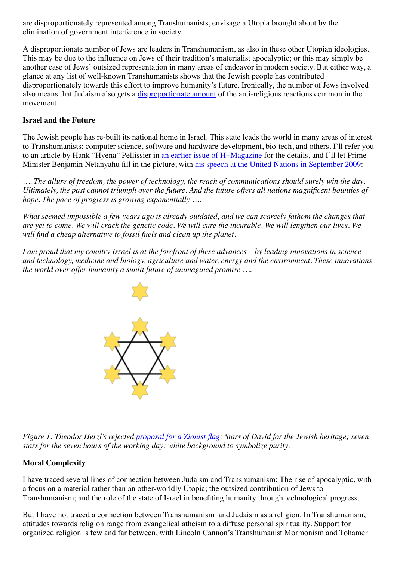are disproportionately represented among Transhumanists, envisage a Utopia brought about by the elimination of government interference in society.

A disproportionate number of Jews are leaders in Transhumanism, as also in these other Utopian ideologies. This may be due to the influence on Jews of their tradition's materialist apocalyptic; or this may simply be another case of Jews' outsized representation in many areas of endeavor in modern society. But either way, a glance at any list of well-known Transhumanists shows that the Jewish people has contributed disproportionately towards this effort to improve humanity's future. Ironically, the number of Jews involved also means that Judaism also gets a *[disproportionate amount](http://lesswrong.com/lw/yo/against_maturity/)* of the anti-religious reactions common in the movement.

## **Israel and the Future**

The Jewish people has re-built its national home in Israel. This state leads the world in many areas of interest to Transhumanists: computer science, software and hardware development, bio-tech, and others. I'll refer you to an article by Hank "Hyena" Pellissier in [an earlier issue of H+Magazine](http://ieet.org/index.php/IEET/more/4164) for the details, and I'll let Prime Minister Benjamin Netanyahu fill in the picture, with [his speech at the United Nations in September 2009](http://www.haaretz.com/news/prime-minister-benjamin-netanyahu-s-speech-to-the-un-general-assembly-1.7254):

*…. The allure of freedom, the power of technology, the reach of communications should surely win the day. Ultimately, the past cannot triumph over the future. And the future offers all nations magnificent bounties of hope. The pace of progress is growing exponentially ….*

*What seemed impossible a few years ago is already outdated, and we can scarcely fathom the changes that are yet to come. We will crack the genetic code. We will cure the incurable. We will lengthen our lives. We will find a cheap alternative to fossil fuels and clean up the planet.*

*I am proud that my country Israel is at the forefront of these advances – by leading innovations in science and technology, medicine and biology, agriculture and water, energy and the environment. These innovations the world over offer humanity a sunlit future of unimagined promise ….*



*Figure 1: Theodor Herzl's rejected [proposal for a Zionist flag:](http://flags.wikia.com/wiki/Israel) Stars of David for the Jewish heritage; seven stars for the seven hours of the working day; white background to symbolize purity.*

## **Moral Complexity**

I have traced several lines of connection between Judaism and Transhumanism: The rise of apocalyptic, with a focus on a material rather than an other-worldly Utopia; the outsized contribution of Jews to Transhumanism; and the role of the state of Israel in benefiting humanity through technological progress.

But I have not traced a connection between Transhumanism and Judaism as a religion. In Transhumanism, attitudes towards religion range from evangelical atheism to a diffuse personal spirituality. Support for organized religion is few and far between, with Lincoln Cannon's Transhumanist Mormonism and Tohamer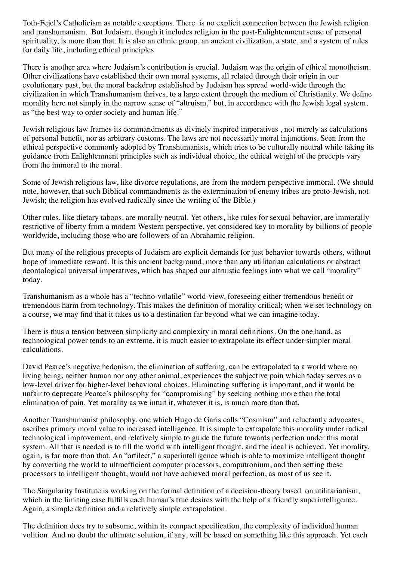Toth-Fejel's Catholicism as notable exceptions. There is no explicit connection between the Jewish religion and transhumanism. But Judaism, though it includes religion in the post-Enlightenment sense of personal spirituality, is more than that. It is also an ethnic group, an ancient civilization, a state, and a system of rules for daily life, including ethical principles

There is another area where Judaism's contribution is crucial. Judaism was the origin of ethical monotheism. Other civilizations have established their own moral systems, all related through their origin in our evolutionary past, but the moral backdrop established by Judaism has spread world-wide through the civilization in which Transhumanism thrives, to a large extent through the medium of Christianity. We define morality here not simply in the narrow sense of "altruism," but, in accordance with the Jewish legal system, as "the best way to order society and human life."

Jewish religious law frames its commandments as divinely inspired imperatives , not merely as calculations of personal benefit, nor as arbitrary customs. The laws are not necessarily moral injunctions. Seen from the ethical perspective commonly adopted by Transhumanists, which tries to be culturally neutral while taking its guidance from Enlightenment principles such as individual choice, the ethical weight of the precepts vary from the immoral to the moral.

Some of Jewish religious law, like divorce regulations, are from the modern perspective immoral. (We should note, however, that such Biblical commandments as the extermination of enemy tribes are proto-Jewish, not Jewish; the religion has evolved radically since the writing of the Bible.)

Other rules, like dietary taboos, are morally neutral. Yet others, like rules for sexual behavior, are immorally restrictive of liberty from a modern Western perspective, yet considered key to morality by billions of people worldwide, including those who are followers of an Abrahamic religion.

But many of the religious precepts of Judaism are explicit demands for just behavior towards others, without hope of immediate reward. It is this ancient background, more than any utilitarian calculations or abstract deontological universal imperatives, which has shaped our altruistic feelings into what we call "morality" today.

Transhumanism as a whole has a "techno-volatile" world-view, foreseeing either tremendous benefit or tremendous harm from technology. This makes the definition of morality critical; when we set technology on a course, we may find that it takes us to a destination far beyond what we can imagine today.

There is thus a tension between simplicity and complexity in moral definitions. On the one hand, as technological power tends to an extreme, it is much easier to extrapolate its effect under simpler moral calculations.

David Pearce's negative hedonism, the elimination of suffering, can be extrapolated to a world where no living being, neither human nor any other animal, experiences the subjective pain which today serves as a low-level driver for higher-level behavioral choices. Eliminating suffering is important, and it would be unfair to deprecate Pearce's philosophy for "compromising" by seeking nothing more than the total elimination of pain. Yet morality as we intuit it, whatever it is, is much more than that.

Another Transhumanist philosophy, one which Hugo de Garis calls "Cosmism" and reluctantly advocates, ascribes primary moral value to increased intelligence. It is simple to extrapolate this morality under radical technological improvement, and relatively simple to guide the future towards perfection under this moral system. All that is needed is to fill the world with intelligent thought, and the ideal is achieved. Yet morality, again, is far more than that. An "artilect," a superintelligence which is able to maximize intelligent thought by converting the world to ultraefficient computer processors, computronium, and then setting these processors to intelligent thought, would not have achieved moral perfection, as most of us see it.

The Singularity Institute is working on the formal definition of a decision-theory based on utilitarianism, which in the limiting case fulfills each human's true desires with the help of a friendly superintelligence. Again, a simple definition and a relatively simple extrapolation.

The definition does try to subsume, within its compact specification, the complexity of individual human volition. And no doubt the ultimate solution, if any, will be based on something like this approach. Yet each